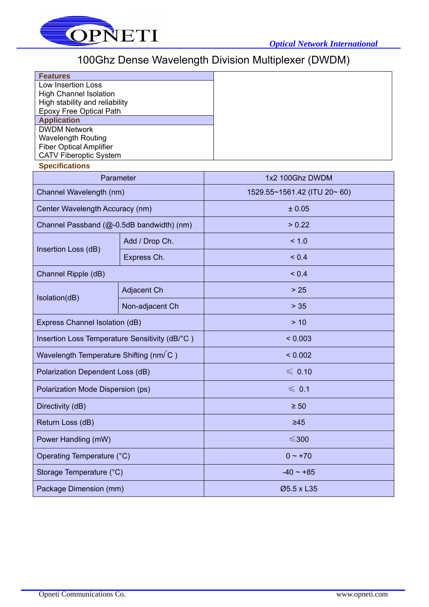

## 100Ghz Dense Wavelength Division Multiplexer (DWDM)

| <b>Features</b>                |  |
|--------------------------------|--|
| Low Insertion Loss             |  |
| <b>High Channel Isolation</b>  |  |
| High stability and reliability |  |
| <b>Epoxy Free Optical Path</b> |  |
| <b>Application</b>             |  |
| <b>DWDM Network</b>            |  |
| <b>Wavelength Routing</b>      |  |
| <b>Fiber Optical Amplifier</b> |  |
| <b>CATV Fiberoptic System</b>  |  |
| <b>Specifications</b>          |  |
| Parameter                      |  |
| Channel Wavelength (nm)        |  |

| Channel Wavelength (nm)                        |                 | 1529.55~1561.42 (ITU 20~ 60) |  |  |  |
|------------------------------------------------|-----------------|------------------------------|--|--|--|
| Center Wavelength Accuracy (nm)                |                 | ± 0.05                       |  |  |  |
| Channel Passband (@-0.5dB bandwidth) (nm)      |                 | > 0.22                       |  |  |  |
| Insertion Loss (dB)                            | Add / Drop Ch.  | < 1.0                        |  |  |  |
|                                                | Express Ch.     | ${}_{0.4}$                   |  |  |  |
| Channel Ripple (dB)                            |                 | ${}_{0.4}$                   |  |  |  |
| Isolation(dB)                                  | Adjacent Ch     | $>25$                        |  |  |  |
|                                                | Non-adjacent Ch | $> 35$                       |  |  |  |
| Express Channel Isolation (dB)                 |                 | > 10                         |  |  |  |
| Insertion Loss Temperature Sensitivity (dB/°C) |                 | < 0.003                      |  |  |  |
| Wavelength Temperature Shifting (nm/ C)        |                 | < 0.002                      |  |  |  |
| Polarization Dependent Loss (dB)               |                 | $\leqslant$ 0.10             |  |  |  |
| Polarization Mode Dispersion (ps)              |                 | $\leqslant$ 0.1              |  |  |  |
| Directivity (dB)                               |                 | $\geq 50$                    |  |  |  |
| Return Loss (dB)                               |                 | $\geq 45$                    |  |  |  |
| Power Handling (mW)                            |                 | $\leqslant$ 300              |  |  |  |
| Operating Temperature (°C)                     |                 | $0 \sim +70$                 |  |  |  |
| Storage Temperature (°C)                       |                 | $-40 \sim +85$               |  |  |  |
| Package Dimension (mm)                         |                 | Ø5.5 x L35                   |  |  |  |